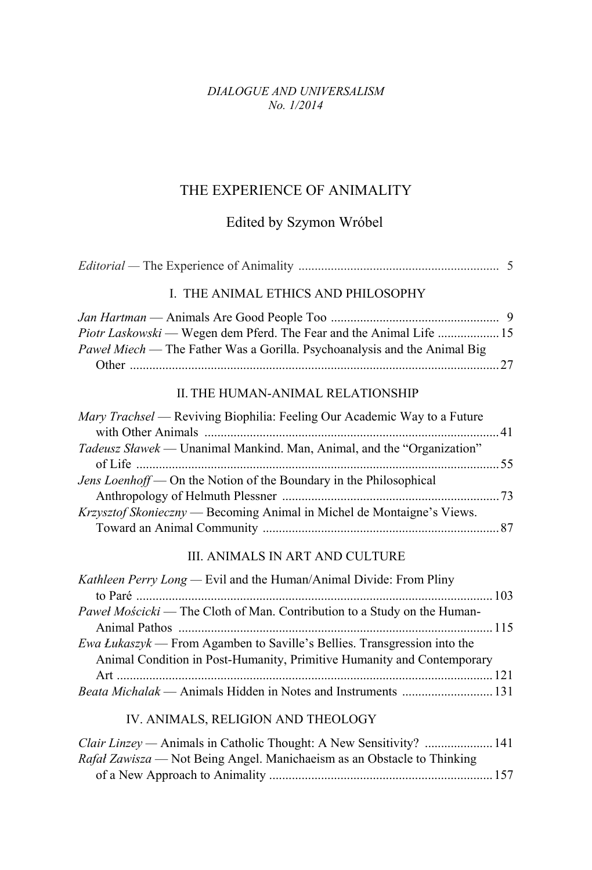#### *DIALOGUE AND UNIVERSALISM No. 1/2014*

# THE EXPERIENCE OF ANIMALITY

### Edited by Szymon Wróbel

| I. THE ANIMAL ETHICS AND PHILOSOPHY<br>Piotr Laskowski — Wegen dem Pferd. The Fear and the Animal Life  15<br>II. THE HUMAN-ANIMAL RELATIONSHIP<br>III. ANIMALS IN ART AND CULTURE |                                                                           |
|------------------------------------------------------------------------------------------------------------------------------------------------------------------------------------|---------------------------------------------------------------------------|
|                                                                                                                                                                                    |                                                                           |
|                                                                                                                                                                                    | Paweł Miech - The Father Was a Gorilla. Psychoanalysis and the Animal Big |
|                                                                                                                                                                                    |                                                                           |
|                                                                                                                                                                                    | Mary Trachsel — Reviving Biophilia: Feeling Our Academic Way to a Future  |
|                                                                                                                                                                                    | Tadeusz Sławek — Unanimal Mankind. Man, Animal, and the "Organization"    |
|                                                                                                                                                                                    | Jens Loenhoff — On the Notion of the Boundary in the Philosophical        |
|                                                                                                                                                                                    | Krzysztof Skonieczny — Becoming Animal in Michel de Montaigne's Views.    |
|                                                                                                                                                                                    |                                                                           |
|                                                                                                                                                                                    | <i>Kathleen Perry Long</i> — Evil and the Human/Animal Divide: From Pliny |
|                                                                                                                                                                                    | Pawel Mościcki — The Cloth of Man. Contribution to a Study on the Human-  |
| Animal Condition in Post-Humanity, Primitive Humanity and Contemporary                                                                                                             | Ewa Łukaszyk — From Agamben to Saville's Bellies. Transgression into the  |

#### IV. ANIMALS, RELIGION AND THEOLOGY

| <i>Clair Linzey</i> — Animals in Catholic Thought: A New Sensitivity?  141 |  |
|----------------------------------------------------------------------------|--|
| Rafał Zawisza — Not Being Angel. Manichaeism as an Obstacle to Thinking    |  |
|                                                                            |  |

*Beata Michalak* — Animals Hidden in Notes and Instruments ............................131